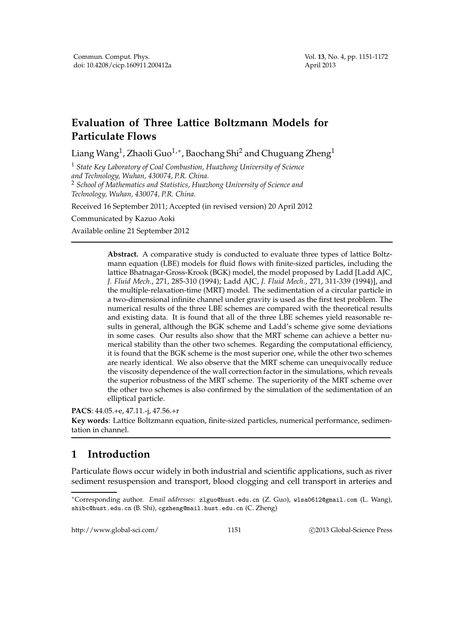# **Evaluation of Three Lattice Boltzmann Models for Particulate Flows**

Liang Wang $^1$ , Zhaoli Guo $^{1,\ast}$ , Baochang Shi $^2$  and Chuguang Zheng $^1$ 

<sup>1</sup> *State Key Laboratory of Coal Combustion, Huazhong University of Science and Technology, Wuhan, 430074, P.R. China.* <sup>2</sup> *School of Mathematics and Statistics, Huazhong University of Science and Technology, Wuhan, 430074, P.R. China.*

Received 16 September 2011; Accepted (in revised version) 20 April 2012

Communicated by Kazuo Aoki

Available online 21 September 2012

**Abstract.** A comparative study is conducted to evaluate three types of lattice Boltzmann equation (LBE) models for fluid flows with finite-sized particles, including the lattice Bhatnagar-Gross-Krook (BGK) model, the model proposed by Ladd [Ladd AJC, *J. Fluid Mech.*, 271, 285-310 (1994); Ladd AJC, *J. Fluid Mech.*, 271, 311-339 (1994)], and the multiple-relaxation-time (MRT) model. The sedimentation of a circular particle in a two-dimensional infinite channel under gravity is used as the first test problem. The numerical results of the three LBE schemes are compared with the theoretical results and existing data. It is found that all of the three LBE schemes yield reasonable results in general, although the BGK scheme and Ladd's scheme give some deviations in some cases. Our results also show that the MRT scheme can achieve a better numerical stability than the other two schemes. Regarding the computational efficiency, it is found that the BGK scheme is the most superior one, while the other two schemes are nearly identical. We also observe that the MRT scheme can unequivocally reduce the viscosity dependence of the wall correction factor in the simulations, which reveals the superior robustness of the MRT scheme. The superiority of the MRT scheme over the other two schemes is also confirmed by the simulation of the sedimentation of an elliptical particle.

**PACS**: 44.05.+e, 47.11.-j, 47.56.+r

**Key words**: Lattice Boltzmann equation, finite-sized particles, numerical performance, sedimentation in channel.

# **1 Introduction**

Particulate flows occur widely in both industrial and scientific applications, such as river sediment resuspension and transport, blood clogging and cell transport in arteries and

http://www.global-sci.com/ 1151 c 2013 Global-Science Press

<sup>∗</sup>Corresponding author. *Email addresses:* zlguo@hust.edu.cn (Z. Guo), wlsa0612@gmail.com (L. Wang), shibc@hust.edu.cn (B. Shi), cgzheng@mail.hust.edu.cn (C. Zheng)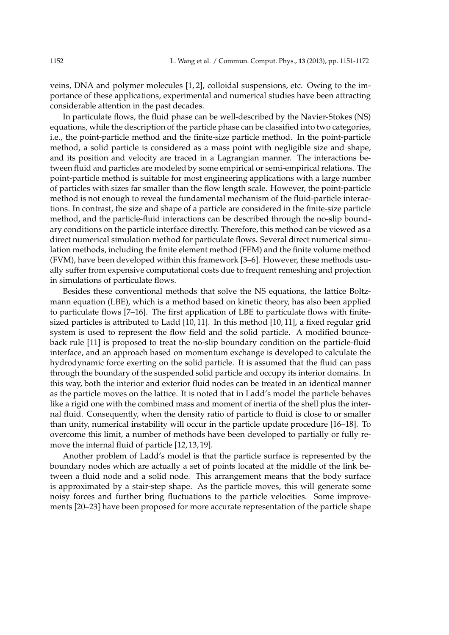veins, DNA and polymer molecules [1, 2], colloidal suspensions, etc. Owing to the importance of these applications, experimental and numerical studies have been attracting considerable attention in the past decades.

In particulate flows, the fluid phase can be well-described by the Navier-Stokes (NS) equations, while the description of the particle phase can be classified into two categories, i.e., the point-particle method and the finite-size particle method. In the point-particle method, a solid particle is considered as a mass point with negligible size and shape, and its position and velocity are traced in a Lagrangian manner. The interactions between fluid and particles are modeled by some empirical or semi-empirical relations. The point-particle method is suitable for most engineering applications with a large number of particles with sizes far smaller than the flow length scale. However, the point-particle method is not enough to reveal the fundamental mechanism of the fluid-particle interactions. In contrast, the size and shape of a particle are considered in the finite-size particle method, and the particle-fluid interactions can be described through the no-slip boundary conditions on the particle interface directly. Therefore, this method can be viewed as a direct numerical simulation method for particulate flows. Several direct numerical simulation methods, including the finite element method (FEM) and the finite volume method (FVM), have been developed within this framework [3–6]. However, these methods usually suffer from expensive computational costs due to frequent remeshing and projection in simulations of particulate flows.

Besides these conventional methods that solve the NS equations, the lattice Boltzmann equation (LBE), which is a method based on kinetic theory, has also been applied to particulate flows [7–16]. The first application of LBE to particulate flows with finitesized particles is attributed to Ladd [10, 11]. In this method [10, 11], a fixed regular grid system is used to represent the flow field and the solid particle. A modified bounceback rule [11] is proposed to treat the no-slip boundary condition on the particle-fluid interface, and an approach based on momentum exchange is developed to calculate the hydrodynamic force exerting on the solid particle. It is assumed that the fluid can pass through the boundary of the suspended solid particle and occupy its interior domains. In this way, both the interior and exterior fluid nodes can be treated in an identical manner as the particle moves on the lattice. It is noted that in Ladd's model the particle behaves like a rigid one with the combined mass and moment of inertia of the shell plus the internal fluid. Consequently, when the density ratio of particle to fluid is close to or smaller than unity, numerical instability will occur in the particle update procedure [16–18]. To overcome this limit, a number of methods have been developed to partially or fully remove the internal fluid of particle [12, 13, 19].

Another problem of Ladd's model is that the particle surface is represented by the boundary nodes which are actually a set of points located at the middle of the link between a fluid node and a solid node. This arrangement means that the body surface is approximated by a stair-step shape. As the particle moves, this will generate some noisy forces and further bring fluctuations to the particle velocities. Some improvements [20–23] have been proposed for more accurate representation of the particle shape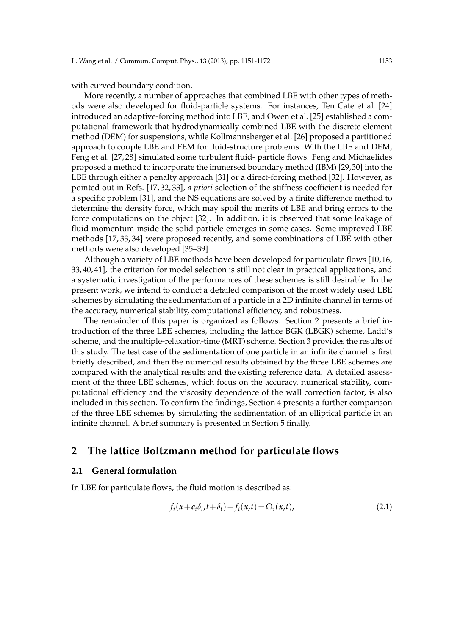with curved boundary condition.

More recently, a number of approaches that combined LBE with other types of methods were also developed for fluid-particle systems. For instances, Ten Cate et al. [24] introduced an adaptive-forcing method into LBE, and Owen et al. [25] established a computational framework that hydrodynamically combined LBE with the discrete element method (DEM) for suspensions, while Kollmannsberger et al. [26] proposed a partitioned approach to couple LBE and FEM for fluid-structure problems. With the LBE and DEM, Feng et al. [27, 28] simulated some turbulent fluid- particle flows. Feng and Michaelides proposed a method to incorporate the immersed boundary method (IBM) [29,30] into the LBE through either a penalty approach [31] or a direct-forcing method [32]. However, as pointed out in Refs. [17, 32, 33], *a priori* selection of the stiffness coefficient is needed for a specific problem [31], and the NS equations are solved by a finite difference method to determine the density force, which may spoil the merits of LBE and bring errors to the force computations on the object [32]. In addition, it is observed that some leakage of fluid momentum inside the solid particle emerges in some cases. Some improved LBE methods [17, 33, 34] were proposed recently, and some combinations of LBE with other methods were also developed [35–39].

Although a variety of LBE methods have been developed for particulate flows [10,16, 33, 40, 41], the criterion for model selection is still not clear in practical applications, and a systematic investigation of the performances of these schemes is still desirable. In the present work, we intend to conduct a detailed comparison of the most widely used LBE schemes by simulating the sedimentation of a particle in a 2D infinite channel in terms of the accuracy, numerical stability, computational efficiency, and robustness.

The remainder of this paper is organized as follows. Section 2 presents a brief introduction of the three LBE schemes, including the lattice BGK (LBGK) scheme, Ladd's scheme, and the multiple-relaxation-time (MRT) scheme. Section 3 provides the results of this study. The test case of the sedimentation of one particle in an infinite channel is first briefly described, and then the numerical results obtained by the three LBE schemes are compared with the analytical results and the existing reference data. A detailed assessment of the three LBE schemes, which focus on the accuracy, numerical stability, computational efficiency and the viscosity dependence of the wall correction factor, is also included in this section. To confirm the findings, Section 4 presents a further comparison of the three LBE schemes by simulating the sedimentation of an elliptical particle in an infinite channel. A brief summary is presented in Section 5 finally.

### **2 The lattice Boltzmann method for particulate flows**

### **2.1 General formulation**

In LBE for particulate flows, the fluid motion is described as:

$$
f_i(x+c_i\delta_t,t+\delta_t)-f_i(x,t)=\Omega_i(x,t),
$$
\n(2.1)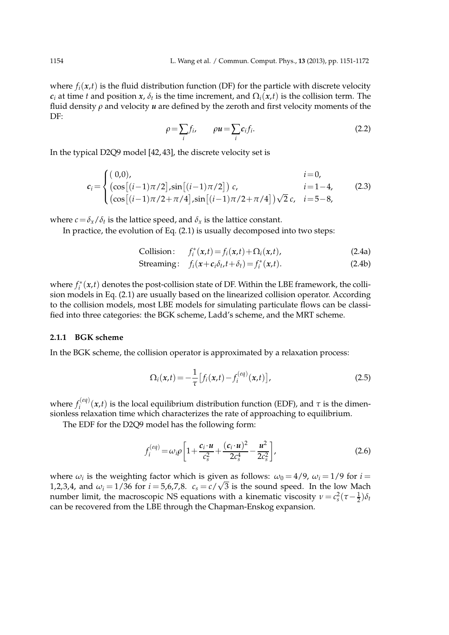where  $f_i(x,t)$  is the fluid distribution function (DF) for the particle with discrete velocity *c*<sub>*i*</sub> at time *t* and position *x*,  $\delta_t$  is the time increment, and  $\Omega_i(x,t)$  is the collision term. The fluid density *ρ* and velocity *u* are defined by the zeroth and first velocity moments of the DF:

$$
\rho = \sum_{i} f_i, \qquad \rho u = \sum_{i} c_i f_i. \tag{2.2}
$$

In the typical D2Q9 model [42, 43], the discrete velocity set is

$$
c_{i} = \begin{cases} (0,0), & i=0, \\ (\cos[(i-1)\pi/2], \sin[(i-1)\pi/2]) & c, & i=1-4, \\ (\cos[(i-1)\pi/2+\pi/4], \sin[(i-1)\pi/2+\pi/4])\sqrt{2}c, & i=5-8, \end{cases}
$$
(2.3)

where  $c = \delta_x/\delta_t$  is the lattice speed, and  $\delta_x$  is the lattice constant.

In practice, the evolution of Eq. (2.1) is usually decomposed into two steps:

Collision: 
$$
f_i^*(x,t) = f_i(x,t) + \Omega_i(x,t)
$$
, (2.4a)

$$
\text{Streaming:} \quad f_i(x+c_i\delta_t, t+\delta_t) = f_i^*(x,t). \tag{2.4b}
$$

where  $f_i^*(x,t)$  denotes the post-collision state of DF. Within the LBE framework, the collision models in Eq. (2.1) are usually based on the linearized collision operator. According to the collision models, most LBE models for simulating particulate flows can be classified into three categories: the BGK scheme, Ladd's scheme, and the MRT scheme.

### **2.1.1 BGK scheme**

In the BGK scheme, the collision operator is approximated by a relaxation process:

$$
\Omega_i(x,t) = -\frac{1}{\tau} \left[ f_i(x,t) - f_i^{(eq)}(x,t) \right],
$$
\n(2.5)

where  $f_i^{(eq)}$  $\hat{f}_i^{(eq)}(x,t)$  is the local equilibrium distribution function (EDF), and  $\tau$  is the dimensionless relaxation time which characterizes the rate of approaching to equilibrium.

The EDF for the D2Q9 model has the following form:

$$
f_i^{(eq)} = \omega_i \rho \left[ 1 + \frac{c_i \cdot u}{c_s^2} + \frac{(c_i \cdot u)^2}{2c_s^4} - \frac{u^2}{2c_s^2} \right],
$$
 (2.6)

where  $\omega_i$  is the weighting factor which is given as follows:  $\omega_0 = 4/9$ ,  $\omega_i = 1/9$  for  $i =$ 1,2,3,4, and  $\omega_i = 1/36$  for  $i = 5,6,7,8$ .  $c_s = c/\sqrt{3}$  is the sound speed. In the low Mach number limit, the macroscopic NS equations with a kinematic viscosity  $\nu = c_s^2(\tau - \frac{1}{2})\delta_t$ can be recovered from the LBE through the Chapman-Enskog expansion.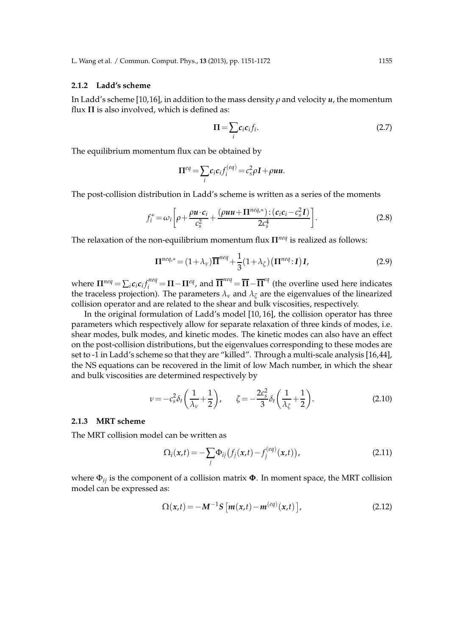### **2.1.2 Ladd's scheme**

In Ladd's scheme [10,16], in addition to the mass density *ρ* and velocity *u*, the momentum flux  $\Pi$  is also involved, which is defined as:

$$
\Pi = \sum_{i} c_i c_i f_i. \tag{2.7}
$$

The equilibrium momentum flux can be obtained by

$$
\Pi^{eq} = \sum_i c_i c_i f_i^{(eq)} = c_s^2 \rho I + \rho u u.
$$

The post-collision distribution in Ladd's scheme is written as a series of the moments

$$
f_i^* = \omega_i \left[ \rho + \frac{\rho \boldsymbol{u} \cdot \boldsymbol{c}_i}{c_s^2} + \frac{(\rho \boldsymbol{u} \boldsymbol{u} + \boldsymbol{\Pi}^{neq,*}) : (\boldsymbol{c}_i \boldsymbol{c}_i - c_s^2 \boldsymbol{I})}{2c_s^4} \right].
$$
 (2.8)

The relaxation of the non-equilibrium momentum flux **Π***neq* is realized as follows:

$$
\Pi^{neq,*} = (1 + \lambda_v)\overline{\Pi}^{neq} + \frac{1}{3}(1 + \lambda_{\zeta})\left(\Pi^{neq}:I\right)I,\tag{2.9}
$$

where  $\Pi^{neq} = \sum_i c_i c_i f_i^{neq} = \Pi - \Pi^{eq}$ , and  $\overline{\Pi}^{neq} = \overline{\Pi} - \overline{\Pi}^{eq}$  (the overline used here indicates the traceless projection). The parameters  $\lambda_{\nu}$  and  $\lambda_{\zeta}$  are the eigenvalues of the linearized collision operator and are related to the shear and bulk viscosities, respectively.

In the original formulation of Ladd's model [10, 16], the collision operator has three parameters which respectively allow for separate relaxation of three kinds of modes, i.e. shear modes, bulk modes, and kinetic modes. The kinetic modes can also have an effect on the post-collision distributions, but the eigenvalues corresponding to these modes are set to -1 in Ladd's scheme so that they are "killed". Through a multi-scale analysis [16,44], the NS equations can be recovered in the limit of low Mach number, in which the shear and bulk viscosities are determined respectively by

$$
\nu = -c_s^2 \delta_t \left( \frac{1}{\lambda_v} + \frac{1}{2} \right), \qquad \zeta = -\frac{2c_s^2}{3} \delta_t \left( \frac{1}{\lambda_\zeta} + \frac{1}{2} \right). \tag{2.10}
$$

### **2.1.3 MRT scheme**

The MRT collision model can be written as

$$
\Omega_i(x,t) = -\sum_j \Phi_{ij} (f_j(x,t) - f_j^{(eq)}(x,t)),
$$
\n(2.11)

where Φ*ij* is the component of a collision matrix **Φ**. In moment space, the MRT collision model can be expressed as:

$$
\Omega(x,t) = -M^{-1}S\left[m(x,t) - m^{(eq)}(x,t)\right],\tag{2.12}
$$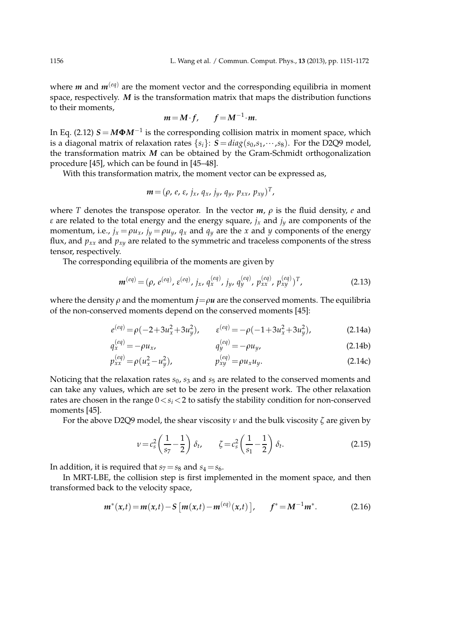where  $m$  and  $m^{(eq)}$  are the moment vector and the corresponding equilibria in moment space, respectively. *M* is the transformation matrix that maps the distribution functions to their moments,

$$
m = M \cdot f, \qquad f = M^{-1} \cdot m.
$$

In Eq. (2.12) *S* = *M***Φ***M*−<sup>1</sup> is the corresponding collision matrix in moment space, which is a diagonal matrix of relaxation rates  $\{s_i\}: S = diag(s_0, s_1, \dots, s_8)$ . For the D2Q9 model, the transformation matrix *M* can be obtained by the Gram-Schmidt orthogonalization procedure [45], which can be found in [45–48].

With this transformation matrix, the moment vector can be expressed as,

$$
\boldsymbol{m} = (\rho, e, \varepsilon, j_x, q_x, j_y, q_y, p_{xx}, p_{xy})^T,
$$

where *T* denotes the transpose operator. In the vector  $m$ ,  $\rho$  is the fluid density,  $e$  and *ε* are related to the total energy and the energy square, *j<sup>x</sup>* and *j<sup>y</sup>* are components of the momentum, i.e.,  $j_x = \rho u_x$ ,  $j_y = \rho u_y$ ,  $q_x$  and  $q_y$  are the *x* and *y* components of the energy flux, and  $p_{xx}$  and  $p_{xy}$  are related to the symmetric and traceless components of the stress tensor, respectively.

The corresponding equilibria of the moments are given by

$$
\mathbf{m}^{(eq)} = (\rho, e^{(eq)}, \varepsilon^{(eq)}, j_x, q_x^{(eq)}, j_y, q_y^{(eq)}, p_{xx}^{(eq)}, p_{xy}^{(eq)})^T, \qquad (2.13)
$$

where the density  $\rho$  and the momentum  $j = \rho u$  are the conserved moments. The equilibria of the non-conserved moments depend on the conserved moments [45]:

$$
e^{(eq)} = \rho(-2 + 3u_x^2 + 3u_y^2), \qquad \varepsilon^{(eq)} = -\rho(-1 + 3u_x^2 + 3u_y^2), \tag{2.14a}
$$

$$
q_x^{(eq)} = -\rho u_x, \qquad q_y^{(eq)} = -\rho u_y, \tag{2.14b}
$$

$$
p_{xx}^{(eq)} = \rho(u_x^2 - u_y^2), \qquad p_{xy}^{(eq)} = \rho u_x u_y. \tag{2.14c}
$$

Noticing that the relaxation rates  $s_0$ ,  $s_3$  and  $s_5$  are related to the conserved moments and can take any values, which are set to be zero in the present work. The other relaxation rates are chosen in the range  $0 < s_i < 2$  to satisfy the stability condition for non-conserved moments [45].

For the above D2Q9 model, the shear viscosity *ν* and the bulk viscosity *ζ* are given by

$$
\nu = c_s^2 \left( \frac{1}{s_7} - \frac{1}{2} \right) \delta_t, \qquad \zeta = c_s^2 \left( \frac{1}{s_1} - \frac{1}{2} \right) \delta_t.
$$
 (2.15)

In addition, it is required that  $s_7 = s_8$  and  $s_4 = s_6$ .

In MRT-LBE, the collision step is first implemented in the moment space, and then transformed back to the velocity space,

$$
m^{*}(x,t) = m(x,t) - S[m(x,t) - m^{(eq)}(x,t)], \qquad f^{*} = M^{-1}m^{*}.
$$
 (2.16)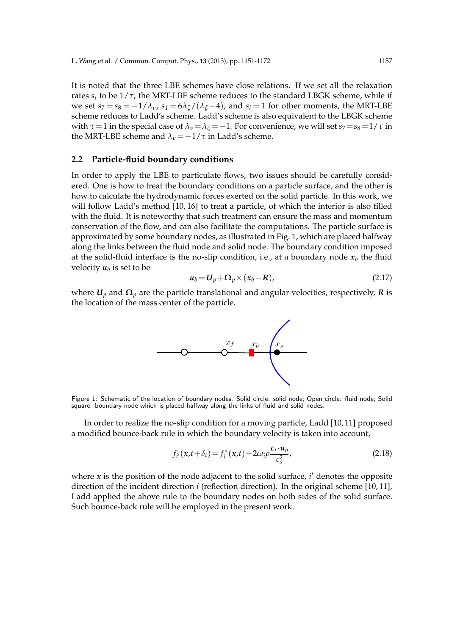It is noted that the three LBE schemes have close relations. If we set all the relaxation rates  $s_i$  to be  $1/\tau$ , the MRT-LBE scheme reduces to the standard LBGK scheme, while if we set  $s_7 = s_8 = -1/\lambda_v$ ,  $s_1 = 6\lambda_z/(\lambda_z - 4)$ , and  $s_i = 1$  for other moments, the MRT-LBE scheme reduces to Ladd's scheme. Ladd's scheme is also equivalent to the LBGK scheme with  $\tau$  = 1 in the special case of  $\lambda$ <sup>*v*</sup> =  $\lambda$ <sup>*ζ*</sup> = -1. For convenience, we will set *s*<sub>7</sub> = *s*<sub>8</sub> = 1/ $\tau$  in the MRT-LBE scheme and  $\lambda_{\nu} = -1/\tau$  in Ladd's scheme.

### **2.2 Particle-fluid boundary conditions**

In order to apply the LBE to particulate flows, two issues should be carefully considered. One is how to treat the boundary conditions on a particle surface, and the other is how to calculate the hydrodynamic forces exerted on the solid particle. In this work, we will follow Ladd's method [10, 16] to treat a particle, of which the interior is also filled with the fluid. It is noteworthy that such treatment can ensure the mass and momentum conservation of the flow, and can also facilitate the computations. The particle surface is approximated by some boundary nodes, as illustrated in Fig. 1, which are placed halfway along the links between the fluid node and solid node. The boundary condition imposed at the solid-fluid interface is the no-slip condition, i.e., at a boundary node  $x_b$  the fluid velocity  $u_b$  is set to be

$$
u_b = U_p + \Omega_p \times (x_b - R), \qquad (2.17)
$$

where  $U_p$  and  $\Omega_p$  are the particle translational and angular velocities, respectively, *R* is the location of the mass center of the particle.



Figure 1: Schematic of the location of boundary nodes. Solid circle: solid node; Open circle: fluid node; Solid square: boundary node which is placed halfway along the links of fluid and solid nodes.

In order to realize the no-slip condition for a moving particle, Ladd [10, 11] proposed a modified bounce-back rule in which the boundary velocity is taken into account,

$$
f_{i'}(x,t+\delta_t) = f_i^*(x,t) - 2\omega_i \rho \frac{c_i \cdot u_b}{c_s^2},
$$
\n(2.18)

where *x* is the position of the node adjacent to the solid surface, *i* ′ denotes the opposite direction of the incident direction *i* (reflection direction). In the original scheme [10, 11], Ladd applied the above rule to the boundary nodes on both sides of the solid surface. Such bounce-back rule will be employed in the present work.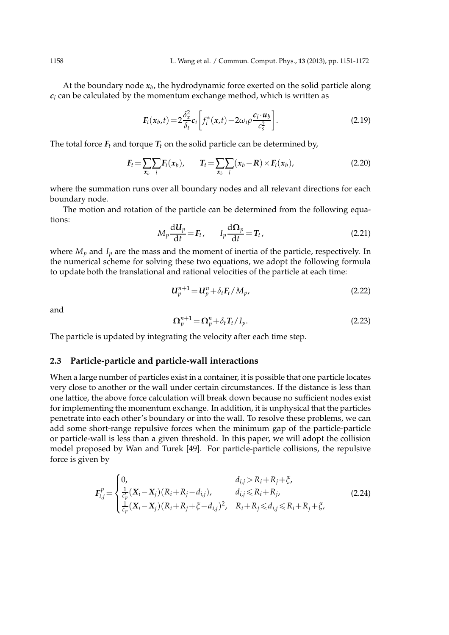At the boundary node  $x_b$ , the hydrodynamic force exerted on the solid particle along  $c_i$  can be calculated by the momentum exchange method, which is written as

$$
F_i(x_b,t) = 2\frac{\delta_x^2}{\delta_t}c_i \left[ f_i^*(x,t) - 2\omega_i \rho \frac{c_i \cdot u_b}{c_s^2} \right].
$$
\n(2.19)

The total force  $F_t$  and torque  $T_t$  on the solid particle can be determined by,

$$
F_t = \sum_{x_b} \sum_i F_i(x_b), \qquad T_t = \sum_{x_b} \sum_i (x_b - R) \times F_i(x_b), \qquad (2.20)
$$

where the summation runs over all boundary nodes and all relevant directions for each boundary node.

The motion and rotation of the particle can be determined from the following equations:

$$
M_p \frac{d\mathbf{U}_p}{dt} = \mathbf{F}_t, \qquad I_p \frac{d\Omega_p}{dt} = \mathbf{T}_t,
$$
\n(2.21)

where  $M_p$  and  $I_p$  are the mass and the moment of inertia of the particle, respectively. In the numerical scheme for solving these two equations, we adopt the following formula to update both the translational and rational velocities of the particle at each time:

$$
\boldsymbol{U}_p^{n+1} = \boldsymbol{U}_p^n + \delta_t \boldsymbol{F}_t / M_p,\tag{2.22}
$$

and

$$
\Omega_p^{n+1} = \Omega_p^n + \delta_t T_t / I_p. \tag{2.23}
$$

The particle is updated by integrating the velocity after each time step.

### **2.3 Particle-particle and particle-wall interactions**

When a large number of particles exist in a container, it is possible that one particle locates very close to another or the wall under certain circumstances. If the distance is less than one lattice, the above force calculation will break down because no sufficient nodes exist for implementing the momentum exchange. In addition, it is unphysical that the particles penetrate into each other's boundary or into the wall. To resolve these problems, we can add some short-range repulsive forces when the minimum gap of the particle-particle or particle-wall is less than a given threshold. In this paper, we will adopt the collision model proposed by Wan and Turek [49]. For particle-particle collisions, the repulsive force is given by

$$
F_{i,j}^{p} = \begin{cases} 0, & d_{i,j} > R_{i} + R_{j} + \xi, \\ \frac{1}{\epsilon_{p}^{2}} (X_{i} - X_{j})(R_{i} + R_{j} - d_{i,j}), & d_{i,j} \le R_{i} + R_{j}, \\ \frac{1}{\epsilon_{p}} (X_{i} - X_{j})(R_{i} + R_{j} + \xi - d_{i,j})^{2}, & R_{i} + R_{j} \le d_{i,j} \le R_{i} + R_{j} + \xi, \end{cases}
$$
(2.24)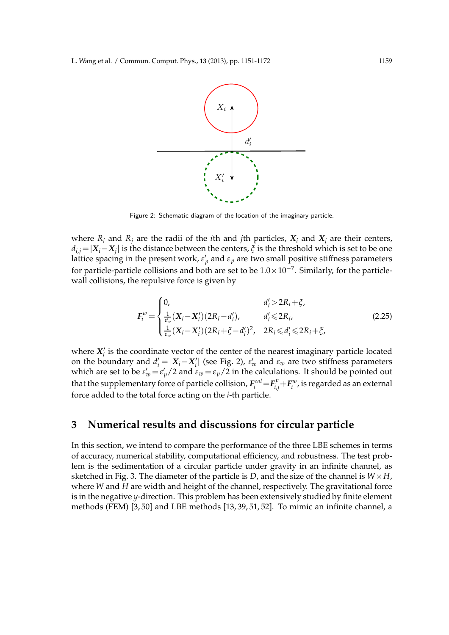

Figure 2: Schematic diagram of the location of the imaginary particle.

where  $R_i$  and  $R_j$  are the radii of the *i*th and *j*th particles,  $X_i$  and  $X_j$  are their centers,  $d_{i,j} = |X_i - X_j|$  is the distance between the centers,  $\zeta$  is the threshold which is set to be one lattice spacing in the present work*,*  $\varepsilon'_p$  and  $\varepsilon_p$  are two small positive stiffness parameters for particle-particle collisions and both are set to be  $1.0 \times 10^{-7}$ . Similarly, for the particlewall collisions, the repulsive force is given by

$$
F_i^w = \begin{cases} 0, & d_i' > 2R_i + \xi, \\ \frac{1}{\varepsilon_w'} (X_i - X_i') (2R_i - d_i'), & d_i' \leq 2R_i, \\ \frac{1}{\varepsilon_w} (X_i - X_i') (2R_i + \xi - d_i')^2, & 2R_i \leq d_i' \leq 2R_i + \xi, \end{cases}
$$
(2.25)

where  $X_i'$  is the coordinate vector of the center of the nearest imaginary particle located on the boundary and  $d'_i = |X_i - X'_i|$  (see Fig. 2),  $\varepsilon'_w$  and  $\varepsilon_w$  are two stiffness parameters which are set to be  $\varepsilon'_w = \varepsilon'_p/2$  and  $\varepsilon_w = \varepsilon_p/2$  in the calculations. It should be pointed out that the supplementary force of particle collision,  $F_i^{col}\!=\!F_{i,j}^p\!+\!F_i^w$ , is regarded as an external force added to the total force acting on the *i*-th particle.

# **3 Numerical results and discussions for circular particle**

In this section, we intend to compare the performance of the three LBE schemes in terms of accuracy, numerical stability, computational efficiency, and robustness. The test problem is the sedimentation of a circular particle under gravity in an infinite channel, as sketched in Fig. 3. The diameter of the particle is *D*, and the size of the channel is  $W \times H$ , where *W* and *H* are width and height of the channel, respectively. The gravitational force is in the negative *y*-direction. This problem has been extensively studied by finite element methods (FEM) [3, 50] and LBE methods [13, 39, 51, 52]. To mimic an infinite channel, a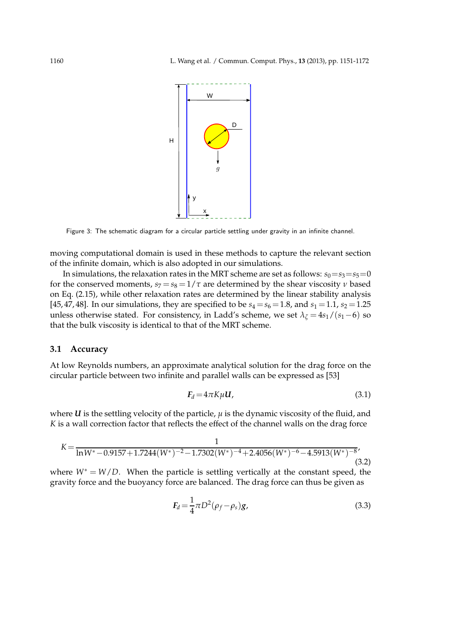

Figure 3: The schematic diagram for a circular particle settling under gravity in an infinite channel.

moving computational domain is used in these methods to capture the relevant section of the infinite domain, which is also adopted in our simulations.

In simulations, the relaxation rates in the MRT scheme are set as follows:  $s_0 = s_3 = s_5 = 0$ for the conserved moments,  $s_7 = s_8 = 1/\tau$  are determined by the shear viscosity *v* based on Eq. (2.15), while other relaxation rates are determined by the linear stability analysis [45, 47, 48]. In our simulations, they are specified to be  $s_4 = s_6 = 1.8$ , and  $s_1 = 1.1$ ,  $s_2 = 1.25$ unless otherwise stated. For consistency, in Ladd's scheme, we set  $\lambda$ <sup>*ζ*</sup> = 4*s*<sub>1</sub>/(*s*<sub>1</sub>−6) so that the bulk viscosity is identical to that of the MRT scheme.

### **3.1 Accuracy**

At low Reynolds numbers, an approximate analytical solution for the drag force on the circular particle between two infinite and parallel walls can be expressed as [53]

$$
F_d = 4\pi K\mu U, \tag{3.1}
$$

where  $U$  is the settling velocity of the particle,  $\mu$  is the dynamic viscosity of the fluid, and *K* is a wall correction factor that reflects the effect of the channel walls on the drag force

$$
K = \frac{1}{\ln W^* - 0.9157 + 1.7244(W^*)^{-2} - 1.7302(W^*)^{-4} + 2.4056(W^*)^{-6} - 4.5913(W^*)^{-8}},
$$
\n(3.2)

where  $W^* = W/D$ . When the particle is settling vertically at the constant speed, the gravity force and the buoyancy force are balanced. The drag force can thus be given as

$$
F_d = \frac{1}{4}\pi D^2 (\rho_f - \rho_s) g,\tag{3.3}
$$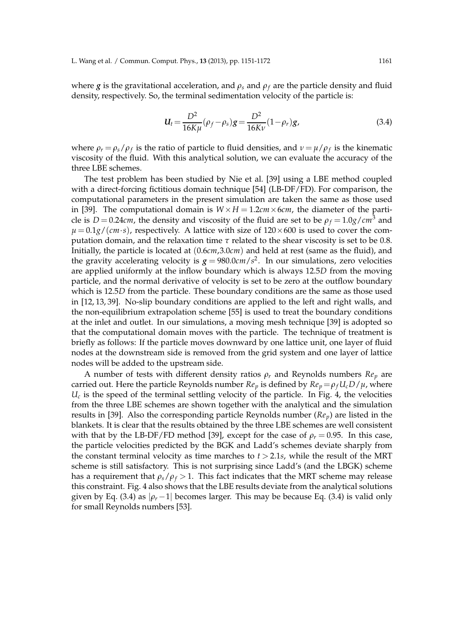where *g* is the gravitational acceleration, and  $\rho_s$  and  $\rho_f$  are the particle density and fluid density, respectively. So, the terminal sedimentation velocity of the particle is:

$$
U_t = \frac{D^2}{16K\mu} (\rho_f - \rho_s) g = \frac{D^2}{16K\nu} (1 - \rho_r) g,
$$
\n(3.4)

where  $\rho_r = \rho_s / \rho_f$  is the ratio of particle to fluid densities, and  $\nu = \mu / \rho_f$  is the kinematic viscosity of the fluid. With this analytical solution, we can evaluate the accuracy of the three LBE schemes.

The test problem has been studied by Nie et al. [39] using a LBE method coupled with a direct-forcing fictitious domain technique [54] (LB-DF/FD). For comparison, the computational parameters in the present simulation are taken the same as those used in [39]. The computational domain is  $W \times H = 1.2$ *cm* $\times$  6*cm*, the diameter of the particle is  $D = 0.24$ *cm*, the density and viscosity of the fluid are set to be  $\rho_f = 1.0$ *g*/*cm*<sup>3</sup> and  $\mu = 0.1g/(cm·s)$ , respectively. A lattice with size of  $120 \times 600$  is used to cover the computation domain, and the relaxation time *τ* related to the shear viscosity is set to be 0.8. Initially, the particle is located at (0.6*cm*,3.0*cm*) and held at rest (same as the fluid), and the gravity accelerating velocity is  $g = 980.0$ *cm*/ $s^2$ . In our simulations, zero velocities are applied uniformly at the inflow boundary which is always 12.5*D* from the moving particle, and the normal derivative of velocity is set to be zero at the outflow boundary which is 12.5*D* from the particle. These boundary conditions are the same as those used in [12, 13, 39]. No-slip boundary conditions are applied to the left and right walls, and the non-equilibrium extrapolation scheme [55] is used to treat the boundary conditions at the inlet and outlet. In our simulations, a moving mesh technique [39] is adopted so that the computational domain moves with the particle. The technique of treatment is briefly as follows: If the particle moves downward by one lattice unit, one layer of fluid nodes at the downstream side is removed from the grid system and one layer of lattice nodes will be added to the upstream side.

A number of tests with different density ratios *ρ<sup>r</sup>* and Reynolds numbers *Re<sup>p</sup>* are carried out. Here the particle Reynolds number  $Re_p$  is defined by  $Re_p = \rho_f U_c D / \mu$ , where  $U_c$  is the speed of the terminal settling velocity of the particle. In Fig. 4, the velocities from the three LBE schemes are shown together with the analytical and the simulation results in [39]. Also the corresponding particle Reynolds number (*Rep*) are listed in the blankets. It is clear that the results obtained by the three LBE schemes are well consistent with that by the LB-DF/FD method [39], except for the case of  $\rho_r = 0.95$ . In this case, the particle velocities predicted by the BGK and Ladd's schemes deviate sharply from the constant terminal velocity as time marches to  $t > 2.1s$ , while the result of the MRT scheme is still satisfactory. This is not surprising since Ladd's (and the LBGK) scheme has a requirement that  $\rho_s/\rho_f > 1$ . This fact indicates that the MRT scheme may release this constraint. Fig. 4 also shows that the LBE results deviate from the analytical solutions given by Eq. (3.4) as  $|\rho_r - 1|$  becomes larger. This may be because Eq. (3.4) is valid only for small Reynolds numbers [53].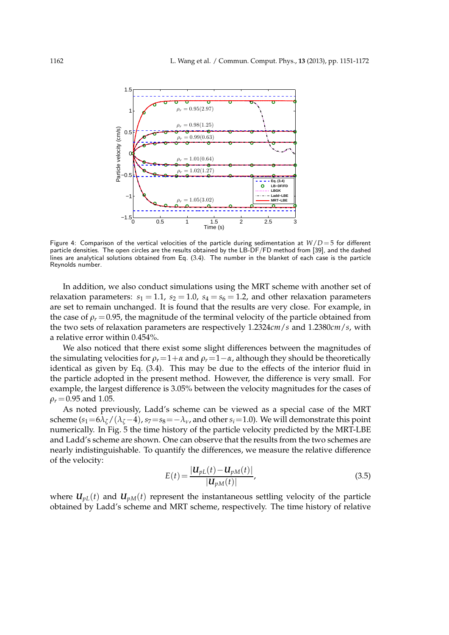

Figure 4: Comparison of the vertical velocities of the particle during sedimentation at  $W/D = 5$  for different particle densities. The open circles are the results obtained by the LB-DF/FD method from [39], and the dashed lines are analytical solutions obtained from Eq. (3.4). The number in the blanket of each case is the particle Reynolds number.

In addition, we also conduct simulations using the MRT scheme with another set of relaxation parameters:  $s_1 = 1.1$ ,  $s_2 = 1.0$ ,  $s_4 = s_6 = 1.2$ , and other relaxation parameters are set to remain unchanged. It is found that the results are very close. For example, in the case of  $\rho_r = 0.95$ , the magnitude of the terminal velocity of the particle obtained from the two sets of relaxation parameters are respectively 1.2324*cm*/*s* and 1.2380*cm*/*s*, with a relative error within 0.454%.

We also noticed that there exist some slight differences between the magnitudes of the simulating velocities for  $\rho_r = 1 + \alpha$  and  $\rho_r = 1 - \alpha$ , although they should be theoretically identical as given by Eq. (3.4). This may be due to the effects of the interior fluid in the particle adopted in the present method. However, the difference is very small. For example, the largest difference is 3.05% between the velocity magnitudes for the cases of  $\rho_r = 0.95$  and 1.05.

As noted previously, Ladd's scheme can be viewed as a special case of the MRT scheme ( $s_1=6\lambda_\zeta/(\lambda_\zeta-4)$ ,  $s_7=s_8=-\lambda_\nu$ , and other  $s_i=1.0$ ). We will demonstrate this point numerically. In Fig. 5 the time history of the particle velocity predicted by the MRT-LBE and Ladd's scheme are shown. One can observe that the results from the two schemes are nearly indistinguishable. To quantify the differences, we measure the relative difference of the velocity:

$$
E(t) = \frac{|U_{pL}(t) - U_{pM}(t)|}{|U_{pM}(t)|},
$$
\n(3.5)

where  $U_{pL}(t)$  and  $U_{pM}(t)$  represent the instantaneous settling velocity of the particle obtained by Ladd's scheme and MRT scheme, respectively. The time history of relative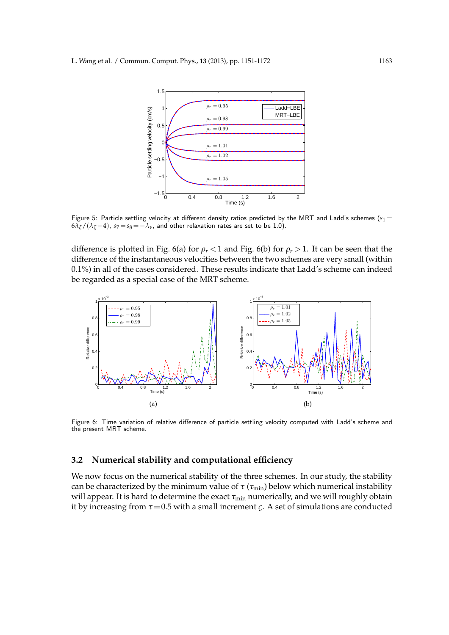

Figure 5: Particle settling velocity at different density ratios predicted by the MRT and Ladd's schemes ( $s_1 =$  $6\lambda$ <sup>*ζ*</sup> /  $(\lambda$ <sup>*ζ*</sup> −4), *s*<sub>7</sub> = *s*<sub>8</sub> = − $\lambda$ *ν*, and other relaxation rates are set to be 1.0).

difference is plotted in Fig. 6(a) for  $\rho_r < 1$  and Fig. 6(b) for  $\rho_r > 1$ . It can be seen that the difference of the instantaneous velocities between the two schemes are very small (within 0.1%) in all of the cases considered. These results indicate that Ladd's scheme can indeed be regarded as a special case of the MRT scheme.



Figure 6: Time variation of relative difference of particle settling velocity computed with Ladd's scheme and the present MRT scheme.

### **3.2 Numerical stability and computational efficiency**

We now focus on the numerical stability of the three schemes. In our study, the stability can be characterized by the minimum value of  $\tau$  ( $\tau$ <sub>min</sub>) below which numerical instability will appear. It is hard to determine the exact *τ*<sub>min</sub> numerically, and we will roughly obtain it by increasing from  $\tau$  = 0.5 with a small increment *ς*. A set of simulations are conducted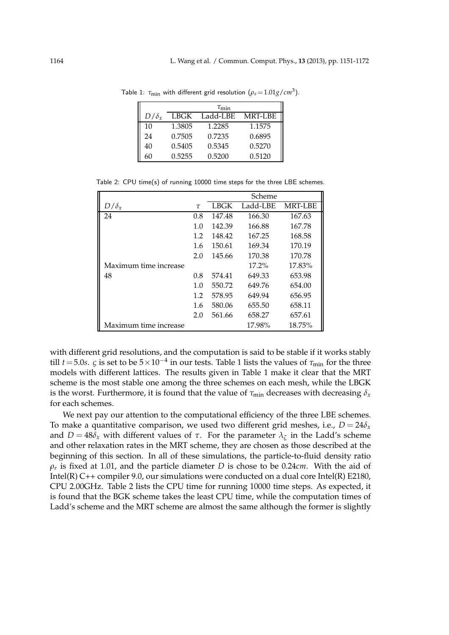|              | $\tau_{\rm min}$ |          |                |  |  |  |
|--------------|------------------|----------|----------------|--|--|--|
| $D/\delta_r$ | LBGK             | Ladd-LBE | <b>MRT-LBE</b> |  |  |  |
| 10           | 1.3805           | 1.2285   | 1.1575         |  |  |  |
| 24           | 0.7505           | 0.7235   | 0.6895         |  |  |  |
| 40           | 0.5405           | 0.5345   | 0.5270         |  |  |  |
| 60           | 0.5255           | 0.5200   | 0.5120         |  |  |  |

Table 1:  $\tau_{\min}$  with different grid resolution  $(\rho_s = 1.01 g/cm^3)$ .

Table 2: CPU time(s) of running 10000 time steps for the three LBE schemes.

|                       |        | Scheme |          |                |
|-----------------------|--------|--------|----------|----------------|
| $D/\delta_x$          | $\tau$ | LBGK   | Ladd-LBE | <b>MRT-LBE</b> |
| 24                    | 0.8    | 147.48 | 166.30   | 167.63         |
|                       | 1.0    | 142.39 | 166.88   | 167.78         |
|                       | 1.2    | 148.42 | 167.25   | 168.58         |
|                       | 1.6    | 150.61 | 169.34   | 170.19         |
|                       | 2.0    | 145.66 | 170.38   | 170.78         |
| Maximum time increase |        |        | $17.2\%$ | 17.83%         |
| 48                    | 0.8    | 574.41 | 649.33   | 653.98         |
|                       | 1.0    | 550.72 | 649.76   | 654.00         |
|                       | 1.2    | 578.95 | 649.94   | 656.95         |
|                       | 1.6    | 580.06 | 655.50   | 658.11         |
|                       | 2.0    | 561.66 | 658.27   | 657.61         |
| Maximum time increase |        |        | 17.98%   | 18.75%         |

with different grid resolutions, and the computation is said to be stable if it works stably till *t* = 5.0*s*. *ς* is set to be  $5 \times 10^{-4}$  in our tests. Table 1 lists the values of  $\tau_{\min}$  for the three models with different lattices. The results given in Table 1 make it clear that the MRT scheme is the most stable one among the three schemes on each mesh, while the LBGK is the worst. Furthermore, it is found that the value of  $\tau_{min}$  decreases with decreasing  $\delta_x$ for each schemes.

We next pay our attention to the computational efficiency of the three LBE schemes. To make a quantitative comparison, we used two different grid meshes, i.e.,  $D = 24\delta_x$ and  $D = 48\delta_x$  with different values of  $\tau$ . For the parameter  $\lambda_{\zeta}$  in the Ladd's scheme and other relaxation rates in the MRT scheme, they are chosen as those described at the beginning of this section. In all of these simulations, the particle-to-fluid density ratio *ρr* is fixed at 1.01, and the particle diameter *D* is chose to be 0.24*cm*. With the aid of Intel(R) C++ compiler 9.0, our simulations were conducted on a dual core Intel(R) E2180, CPU 2.00GHz. Table 2 lists the CPU time for running 10000 time steps. As expected, it is found that the BGK scheme takes the least CPU time, while the computation times of Ladd's scheme and the MRT scheme are almost the same although the former is slightly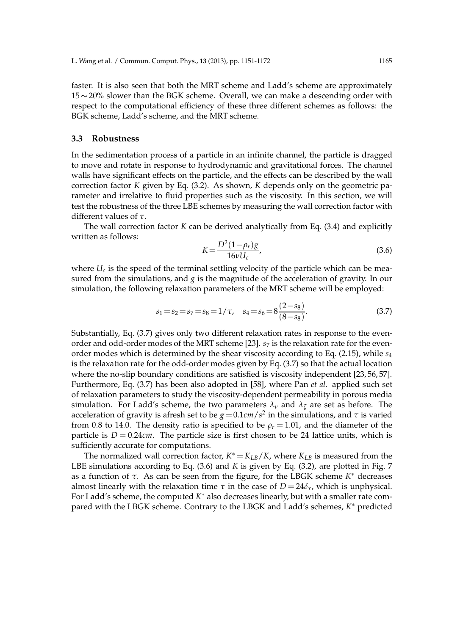faster. It is also seen that both the MRT scheme and Ladd's scheme are approximately 15∼20% slower than the BGK scheme. Overall, we can make a descending order with respect to the computational efficiency of these three different schemes as follows: the BGK scheme, Ladd's scheme, and the MRT scheme.

### **3.3 Robustness**

In the sedimentation process of a particle in an infinite channel, the particle is dragged to move and rotate in response to hydrodynamic and gravitational forces. The channel walls have significant effects on the particle, and the effects can be described by the wall correction factor *K* given by Eq. (3.2). As shown, *K* depends only on the geometric parameter and irrelative to fluid properties such as the viscosity. In this section, we will test the robustness of the three LBE schemes by measuring the wall correction factor with different values of *τ*.

The wall correction factor *K* can be derived analytically from Eq. (3.4) and explicitly written as follows:

$$
K = \frac{D^2 (1 - \rho_r) g}{16V U_c},
$$
\n(3.6)

where  $U_c$  is the speed of the terminal settling velocity of the particle which can be measured from the simulations, and  $g$  is the magnitude of the acceleration of gravity. In our simulation, the following relaxation parameters of the MRT scheme will be employed:

$$
s_1 = s_2 = s_7 = s_8 = 1/\tau
$$
,  $s_4 = s_6 = 8\frac{(2 - s_8)}{(8 - s_8)}$ . (3.7)

Substantially, Eq. (3.7) gives only two different relaxation rates in response to the evenorder and odd-order modes of the MRT scheme [23].  $s<sub>7</sub>$  is the relaxation rate for the evenorder modes which is determined by the shear viscosity according to Eq. (2.15), while *s*<sup>4</sup> is the relaxation rate for the odd-order modes given by Eq. (3.7) so that the actual location where the no-slip boundary conditions are satisfied is viscosity independent [23, 56, 57]. Furthermore, Eq. (3.7) has been also adopted in [58], where Pan *et al.* applied such set of relaxation parameters to study the viscosity-dependent permeability in porous media simulation. For Ladd's scheme, the two parameters  $\lambda_{\nu}$  and  $\lambda_{\zeta}$  are set as before. The acceleration of gravity is afresh set to be  $g$  = 0.1*cm*/ $s^2$  in the simulations, and  $\tau$  is varied from 0.8 to 14.0. The density ratio is specified to be  $\rho_r = 1.01$ , and the diameter of the particle is  $D = 0.24$ *cm*. The particle size is first chosen to be 24 lattice units, which is sufficiently accurate for computations.

The normalized wall correction factor,  $K^* = K_{LB}/K$ , where  $K_{LB}$  is measured from the LBE simulations according to Eq. (3.6) and *K* is given by Eq. (3.2), are plotted in Fig. 7 as a function of *τ*. As can be seen from the figure, for the LBGK scheme *K* ∗ decreases almost linearly with the relaxation time  $\tau$  in the case of  $D = 24\delta_x$ , which is unphysical. For Ladd's scheme, the computed *K* ∗ also decreases linearly, but with a smaller rate compared with the LBGK scheme. Contrary to the LBGK and Ladd's schemes, *K* ∗ predicted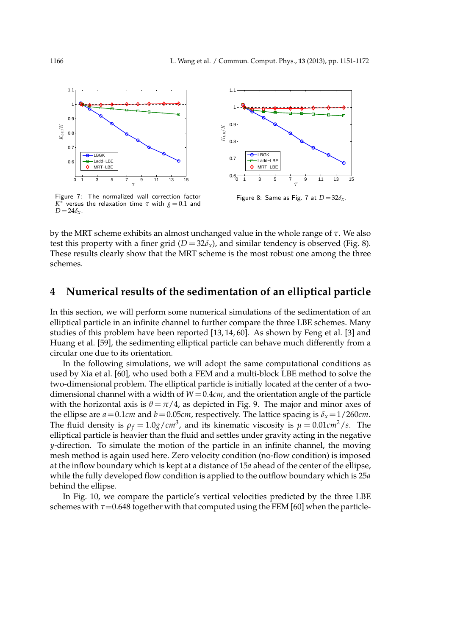



Figure 7: The normalized wall correction factor *K* ∗ versus the relaxation time *τ* with *g* = 0.1 and  $D = 24 \delta_x$ .

Figure 8: Same as Fig. 7 at  $D=32\delta_x$ .

by the MRT scheme exhibits an almost unchanged value in the whole range of *τ*. We also test this property with a finer grid  $(D = 32\delta_x)$ , and similar tendency is observed (Fig. 8). These results clearly show that the MRT scheme is the most robust one among the three schemes.

## **4 Numerical results of the sedimentation of an elliptical particle**

In this section, we will perform some numerical simulations of the sedimentation of an elliptical particle in an infinite channel to further compare the three LBE schemes. Many studies of this problem have been reported [13, 14, 60]. As shown by Feng et al. [3] and Huang et al. [59], the sedimenting elliptical particle can behave much differently from a circular one due to its orientation.

In the following simulations, we will adopt the same computational conditions as used by Xia et al. [60], who used both a FEM and a multi-block LBE method to solve the two-dimensional problem. The elliptical particle is initially located at the center of a twodimensional channel with a width of  $W = 0.4$ *cm*, and the orientation angle of the particle with the horizontal axis is  $\theta = \pi/4$ , as depicted in Fig. 9. The major and minor axes of the ellipse are  $a = 0.1$ *cm* and  $b = 0.05$ *cm*, respectively. The lattice spacing is  $\delta_x = 1/260$ *cm*. The fluid density is  $\rho_f = 1.0$ *g*/*cm*<sup>3</sup>, and its kinematic viscosity is  $\mu = 0.01$ *cm*<sup>2</sup>/*s*. The elliptical particle is heavier than the fluid and settles under gravity acting in the negative *y*-direction. To simulate the motion of the particle in an infinite channel, the moving mesh method is again used here. Zero velocity condition (no-flow condition) is imposed at the inflow boundary which is kept at a distance of 15*a* ahead of the center of the ellipse, while the fully developed flow condition is applied to the outflow boundary which is 25*a* behind the ellipse.

In Fig. 10, we compare the particle's vertical velocities predicted by the three LBE schemes with  $\tau$ =0.648 together with that computed using the FEM [60] when the particle-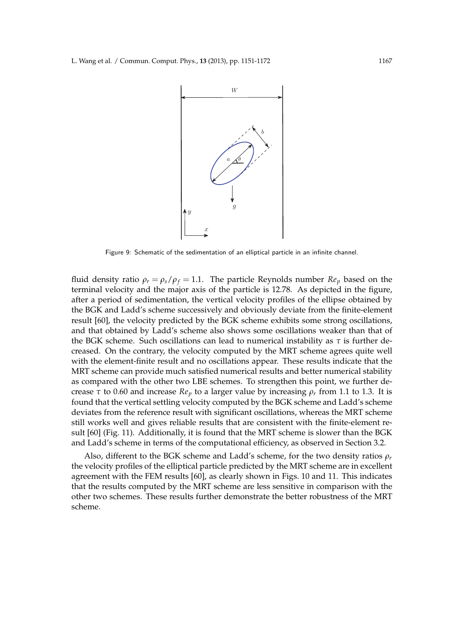

Figure 9: Schematic of the sedimentation of an elliptical particle in an infinite channel.

fluid density ratio  $\rho_r = \rho_s / \rho_f = 1.1$ . The particle Reynolds number  $Re_p$  based on the terminal velocity and the major axis of the particle is 12.78. As depicted in the figure, after a period of sedimentation, the vertical velocity profiles of the ellipse obtained by the BGK and Ladd's scheme successively and obviously deviate from the finite-element result [60], the velocity predicted by the BGK scheme exhibits some strong oscillations, and that obtained by Ladd's scheme also shows some oscillations weaker than that of the BGK scheme. Such oscillations can lead to numerical instability as  $\tau$  is further decreased. On the contrary, the velocity computed by the MRT scheme agrees quite well with the element-finite result and no oscillations appear. These results indicate that the MRT scheme can provide much satisfied numerical results and better numerical stability as compared with the other two LBE schemes. To strengthen this point, we further decrease  $\tau$  to 0.60 and increase  $Re_p$  to a larger value by increasing  $\rho_r$  from 1.1 to 1.3. It is found that the vertical settling velocity computed by the BGK scheme and Ladd's scheme deviates from the reference result with significant oscillations, whereas the MRT scheme still works well and gives reliable results that are consistent with the finite-element result [60] (Fig. 11). Additionally, it is found that the MRT scheme is slower than the BGK and Ladd's scheme in terms of the computational efficiency, as observed in Section 3.2.

Also, different to the BGK scheme and Ladd's scheme, for the two density ratios *ρ<sup>r</sup>* the velocity profiles of the elliptical particle predicted by the MRT scheme are in excellent agreement with the FEM results [60], as clearly shown in Figs. 10 and 11. This indicates that the results computed by the MRT scheme are less sensitive in comparison with the other two schemes. These results further demonstrate the better robustness of the MRT scheme.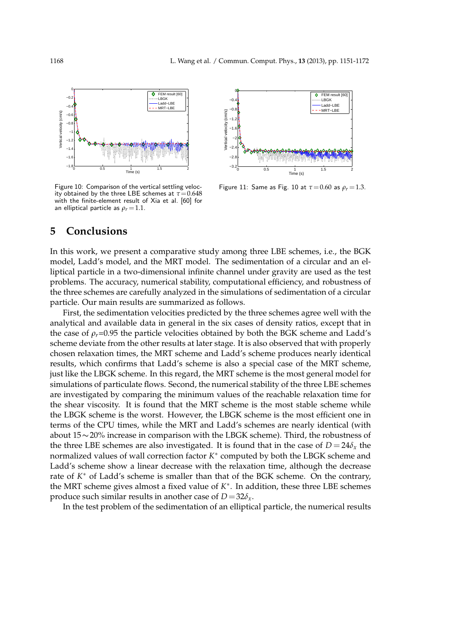

Figure 10: Comparison of the vertical settling velocity obtained by the three LBE schemes at  $\tau = 0.648$ with the finite-element result of Xia et al. [60] for an elliptical particle as  $\rho_r = 1.1$ .



Figure 11: Same as Fig. 10 at *τ*=0.60 as *ρ<sup>r</sup>* =1.3.

# **5 Conclusions**

In this work, we present a comparative study among three LBE schemes, i.e., the BGK model, Ladd's model, and the MRT model. The sedimentation of a circular and an elliptical particle in a two-dimensional infinite channel under gravity are used as the test problems. The accuracy, numerical stability, computational efficiency, and robustness of the three schemes are carefully analyzed in the simulations of sedimentation of a circular particle. Our main results are summarized as follows.

First, the sedimentation velocities predicted by the three schemes agree well with the analytical and available data in general in the six cases of density ratios, except that in the case of  $\rho_r$ =0.95 the particle velocities obtained by both the BGK scheme and Ladd's scheme deviate from the other results at later stage. It is also observed that with properly chosen relaxation times, the MRT scheme and Ladd's scheme produces nearly identical results, which confirms that Ladd's scheme is also a special case of the MRT scheme, just like the LBGK scheme. In this regard, the MRT scheme is the most general model for simulations of particulate flows. Second, the numerical stability of the three LBE schemes are investigated by comparing the minimum values of the reachable relaxation time for the shear viscosity. It is found that the MRT scheme is the most stable scheme while the LBGK scheme is the worst. However, the LBGK scheme is the most efficient one in terms of the CPU times, while the MRT and Ladd's schemes are nearly identical (with about 15∼20% increase in comparison with the LBGK scheme). Third, the robustness of the three LBE schemes are also investigated. It is found that in the case of  $D = 24\delta_x$  the normalized values of wall correction factor *K* ∗ computed by both the LBGK scheme and Ladd's scheme show a linear decrease with the relaxation time, although the decrease rate of *K* ∗ of Ladd's scheme is smaller than that of the BGK scheme. On the contrary, the MRT scheme gives almost a fixed value of *K* ∗ . In addition, these three LBE schemes produce such similar results in another case of  $D=32\delta_x$ .

In the test problem of the sedimentation of an elliptical particle, the numerical results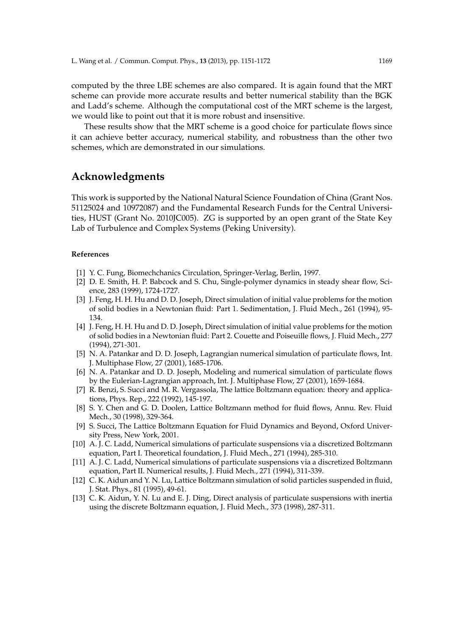computed by the three LBE schemes are also compared. It is again found that the MRT scheme can provide more accurate results and better numerical stability than the BGK and Ladd's scheme. Although the computational cost of the MRT scheme is the largest, we would like to point out that it is more robust and insensitive.

These results show that the MRT scheme is a good choice for particulate flows since it can achieve better accuracy, numerical stability, and robustness than the other two schemes, which are demonstrated in our simulations.

# **Acknowledgments**

This work is supported by the National Natural Science Foundation of China (Grant Nos. 51125024 and 10972087) and the Fundamental Research Funds for the Central Universities, HUST (Grant No. 2010JC005). ZG is supported by an open grant of the State Key Lab of Turbulence and Complex Systems (Peking University).

### **References**

- [1] Y. C. Fung, Biomechchanics Circulation, Springer-Verlag, Berlin, 1997.
- [2] D. E. Smith, H. P. Babcock and S. Chu, Single-polymer dynamics in steady shear flow, Science, 283 (1999), 1724-1727.
- [3] J. Feng, H. H. Hu and D. D. Joseph, Direct simulation of initial value problems for the motion of solid bodies in a Newtonian fluid: Part 1. Sedimentation, J. Fluid Mech., 261 (1994), 95- 134.
- [4] J. Feng, H. H. Hu and D. D. Joseph, Direct simulation of initial value problems for the motion of solid bodies in a Newtonian fluid: Part 2. Couette and Poiseuille flows, J. Fluid Mech., 277 (1994), 271-301.
- [5] N. A. Patankar and D. D. Joseph, Lagrangian numerical simulation of particulate flows, Int. J. Multiphase Flow, 27 (2001), 1685-1706.
- [6] N. A. Patankar and D. D. Joseph, Modeling and numerical simulation of particulate flows by the Eulerian-Lagrangian approach, Int. J. Multiphase Flow, 27 (2001), 1659-1684.
- [7] R. Benzi, S. Succi and M. R. Vergassola, The lattice Boltzmann equation: theory and applications, Phys. Rep., 222 (1992), 145-197.
- [8] S. Y. Chen and G. D. Doolen, Lattice Boltzmann method for fluid flows, Annu. Rev. Fluid Mech., 30 (1998), 329-364.
- [9] S. Succi, The Lattice Boltzmann Equation for Fluid Dynamics and Beyond, Oxford University Press, New York, 2001.
- [10] A. J. C. Ladd, Numerical simulations of particulate suspensions via a discretized Boltzmann equation, Part I. Theoretical foundation, J. Fluid Mech., 271 (1994), 285-310.
- [11] A. J. C. Ladd, Numerical simulations of particulate suspensions via a discretized Boltzmann equation, Part II. Numerical results, J. Fluid Mech., 271 (1994), 311-339.
- [12] C. K. Aidun and Y. N. Lu, Lattice Boltzmann simulation of solid particles suspended in fluid, J. Stat. Phys., 81 (1995), 49-61.
- [13] C. K. Aidun, Y. N. Lu and E. J. Ding, Direct analysis of particulate suspensions with inertia using the discrete Boltzmann equation, J. Fluid Mech., 373 (1998), 287-311.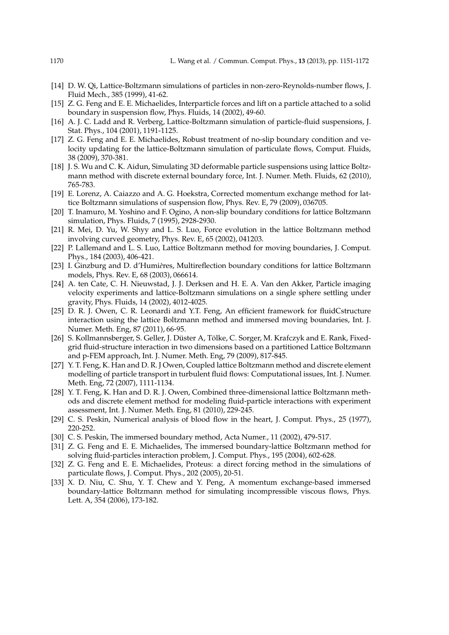- [14] D. W. Qi, Lattice-Boltzmann simulations of particles in non-zero-Reynolds-number flows, J. Fluid Mech., 385 (1999), 41-62.
- [15] Z. G. Feng and E. E. Michaelides, Interparticle forces and lift on a particle attached to a solid boundary in suspension flow, Phys. Fluids, 14 (2002), 49-60.
- [16] A. J. C. Ladd and R. Verberg, Lattice-Boltzmann simulation of particle-fluid suspensions, J. Stat. Phys., 104 (2001), 1191-1125.
- [17] Z. G. Feng and E. E. Michaelides, Robust treatment of no-slip boundary condition and velocity updating for the lattice-Boltzmann simulation of particulate flows, Comput. Fluids, 38 (2009), 370-381.
- [18] J. S. Wu and C. K. Aidun, Simulating 3D deformable particle suspensions using lattice Boltzmann method with discrete external boundary force, Int. J. Numer. Meth. Fluids, 62 (2010), 765-783.
- [19] E. Lorenz, A. Caiazzo and A. G. Hoekstra, Corrected momentum exchange method for lattice Boltzmann simulations of suspension flow, Phys. Rev. E, 79 (2009), 036705.
- [20] T. Inamuro, M. Yoshino and F. Ogino, A non-slip boundary conditions for lattice Boltzmann simulation, Phys. Fluids, 7 (1995), 2928-2930.
- [21] R. Mei, D. Yu, W. Shyy and L. S. Luo, Force evolution in the lattice Boltzmann method involving curved geometry, Phys. Rev. E, 65 (2002), 041203.
- [22] P. Lallemand and L. S. Luo, Lattice Boltzmann method for moving boundaries, J. Comput. Phys., 184 (2003), 406-421.
- [23] I. Ginzburg and D. d'Humi*e*`res, Multireflection boundary conditions for lattice Boltzmann models, Phys. Rev. E, 68 (2003), 066614.
- [24] A. ten Cate, C. H. Nieuwstad, J. J. Derksen and H. E. A. Van den Akker, Particle imaging velocity experiments and lattice-Boltzmann simulations on a single sphere settling under gravity, Phys. Fluids, 14 (2002), 4012-4025.
- [25] D. R. J. Owen, C. R. Leonardi and Y.T. Feng, An efficient framework for fluidCstructure interaction using the lattice Boltzmann method and immersed moving boundaries, Int. J. Numer. Meth. Eng, 87 (2011), 66-95.
- [26] S. Kollmannsberger, S. Geller, J. Düster A, Tölke, C. Sorger, M. Krafczyk and E. Rank, Fixedgrid fluid-structure interaction in two dimensions based on a partitioned Lattice Boltzmann and p-FEM approach, Int. J. Numer. Meth. Eng, 79 (2009), 817-845.
- [27] Y. T. Feng, K. Han and D. R. J Owen, Coupled lattice Boltzmann method and discrete element modelling of particle transport in turbulent fluid flows: Computational issues, Int. J. Numer. Meth. Eng, 72 (2007), 1111-1134.
- [28] Y. T. Feng, K. Han and D. R. J. Owen, Combined three-dimensional lattice Boltzmann methods and discrete element method for modeling fluid-particle interactions with experiment assessment, Int. J. Numer. Meth. Eng, 81 (2010), 229-245.
- [29] C. S. Peskin, Numerical analysis of blood flow in the heart, J. Comput. Phys., 25 (1977), 220-252.
- [30] C. S. Peskin, The immersed boundary method, Acta Numer., 11 (2002), 479-517.
- [31] Z. G. Feng and E. E. Michaelides, The immersed boundary-lattice Boltzmann method for solving fluid-particles interaction problem, J. Comput. Phys., 195 (2004), 602-628.
- [32] Z. G. Feng and E. E. Michaelides, Proteus: a direct forcing method in the simulations of particulate flows, J. Comput. Phys., 202 (2005), 20-51.
- [33] X. D. Niu, C. Shu, Y. T. Chew and Y. Peng, A momentum exchange-based immersed boundary-lattice Boltzmann method for simulating incompressible viscous flows, Phys. Lett. A, 354 (2006), 173-182.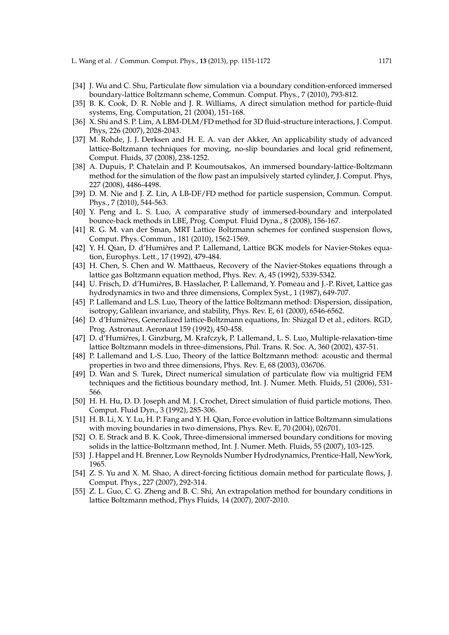- [34] J. Wu and C. Shu, Particulate flow simulation via a boundary condition-enforced immersed boundary-lattice Boltzmann scheme, Commun. Comput. Phys., 7 (2010), 793-812.
- [35] B. K. Cook, D. R. Noble and J. R. Williams, A direct simulation method for particle-fluid systems, Eng. Computation, 21 (2004), 151-168.
- [36] X. Shi and S. P. Lim, A LBM-DLM/FD method for 3D fluid-structure interactions, J. Comput. Phys, 226 (2007), 2028-2043.
- [37] M. Rohde, J. J. Derksen and H. E. A. van der Akker, An applicability study of advanced lattice-Boltzmann techniques for moving, no-slip boundaries and local grid refinement, Comput. Fluids, 37 (2008), 238-1252.
- [38] A. Dupuis, P. Chatelain and P. Koumoutsakos, An immersed boundary-lattice-Boltzmann method for the simulation of the flow past an impulsively started cylinder, J. Comput. Phys, 227 (2008), 4486-4498.
- [39] D. M. Nie and J. Z. Lin, A LB-DF/FD method for particle suspension, Commun. Comput. Phys., 7 (2010), 544-563.
- [40] Y. Peng and L. S. Luo, A comparative study of immersed-boundary and interpolated bounce-back methods in LBE, Prog. Comput. Fluid Dyna., 8 (2008), 156-167.
- [41] R. G. M. van der Sman, MRT Lattice Boltzmann schemes for confined suspension flows, Comput. Phys. Commun., 181 (2010), 1562-1569.
- [42] Y. H. Qian, D. d'Humières and P. Lallemand, Lattice BGK models for Navier-Stokes equation, Europhys. Lett., 17 (1992), 479-484.
- [43] H. Chen, S. Chen and W. Matthaeus, Recovery of the Navier-Stokes equations through a lattice gas Boltzmann equation method, Phys. Rev. A, 45 (1992), 5339-5342.
- [44] U. Frisch, D. d'Humi*e*`res, B. Hasslacher, P. Lallemand, Y. Pomeau and J.-P. Rivet, Lattice gas hydrodynamics in two and three dimensions, Complex Syst., 1 (1987), 649-707.
- [45] P. Lallemand and L.S. Luo, Theory of the lattice Boltzmann method: Dispersion, dissipation, isotropy, Galilean invariance, and stability, Phys. Rev. E, 61 (2000), 6546-6562.
- [46] D. d'Humières, Generalized lattice-Boltzmann equations, In: Shizgal D et al., editors. RGD, Prog. Astronaut. Aeronaut 159 (1992), 450-458.
- [47] D. d'Humi*e*`res, I. Ginzburg, M. Krafczyk, P. Lallemand, L. S. Luo, Multiple-relaxation-time lattice Boltzmann models in three-dimensions, Phil. Trans. R. Soc. A, 360 (2002), 437-51.
- [48] P. Lallemand and L-S. Luo, Theory of the lattice Boltzmann method: acoustic and thermal properties in two and three dimensions, Phys. Rev. E, 68 (2003), 036706.
- [49] D. Wan and S. Turek, Direct numerical simulation of particulate flow via multigrid FEM techniques and the fictitious boundary method, Int. J. Numer. Meth. Fluids, 51 (2006), 531- 566.
- [50] H. H. Hu, D. D. Joseph and M. J. Crochet, Direct simulation of fluid particle motions, Theo. Comput. Fluid Dyn., 3 (1992), 285-306.
- [51] H. B. Li, X. Y. Lu, H. P. Fang and Y. H. Qian, Force evolution in lattice Boltzmann simulations with moving boundaries in two dimensions, Phys. Rev. E, 70 (2004), 026701.
- [52] O. E. Strack and B. K. Cook, Three-dimensional immersed boundary conditions for moving solids in the lattice-Boltzmann method, Int. J. Numer. Meth. Fluids, 55 (2007), 103-125.
- [53] J. Happel and H. Brenner, Low Reynolds Number Hydrodynamics, Prentice-Hall, NewYork, 1965.
- [54] Z. S. Yu and X. M. Shao, A direct-forcing fictitious domain method for particulate flows, J. Comput. Phys., 227 (2007), 292-314.
- [55] Z. L. Guo, C. G. Zheng and B. C. Shi, An extrapolation method for boundary conditions in lattice Boltzmann method, Phys Fluids, 14 (2007), 2007-2010.